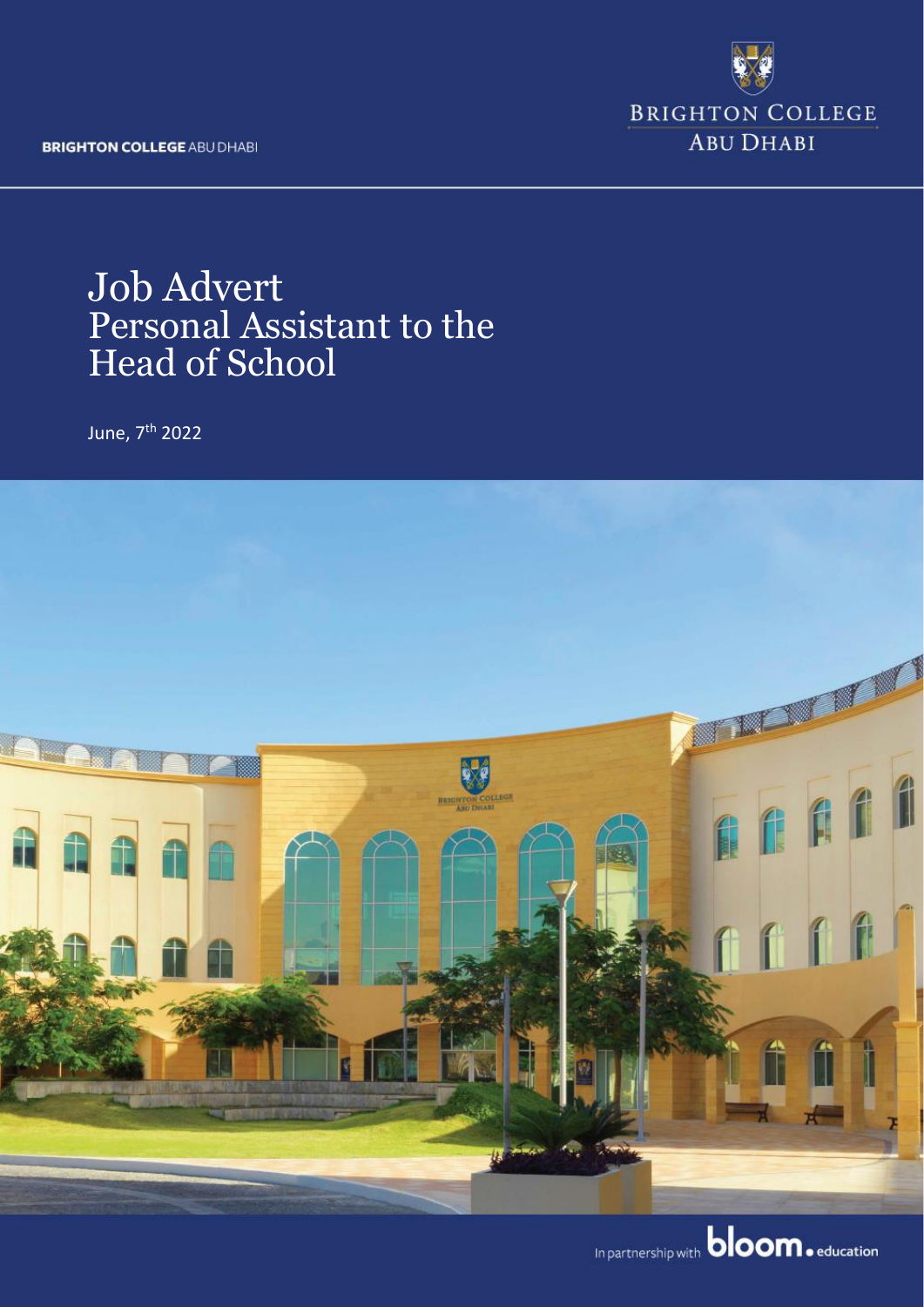**BRIGHTON COLLEGE ABU DHABI** 



# **Job Advert** Personal Assistant to the **Head of School**

June, 7<sup>th</sup> 2022



In partnership with **bloom**. education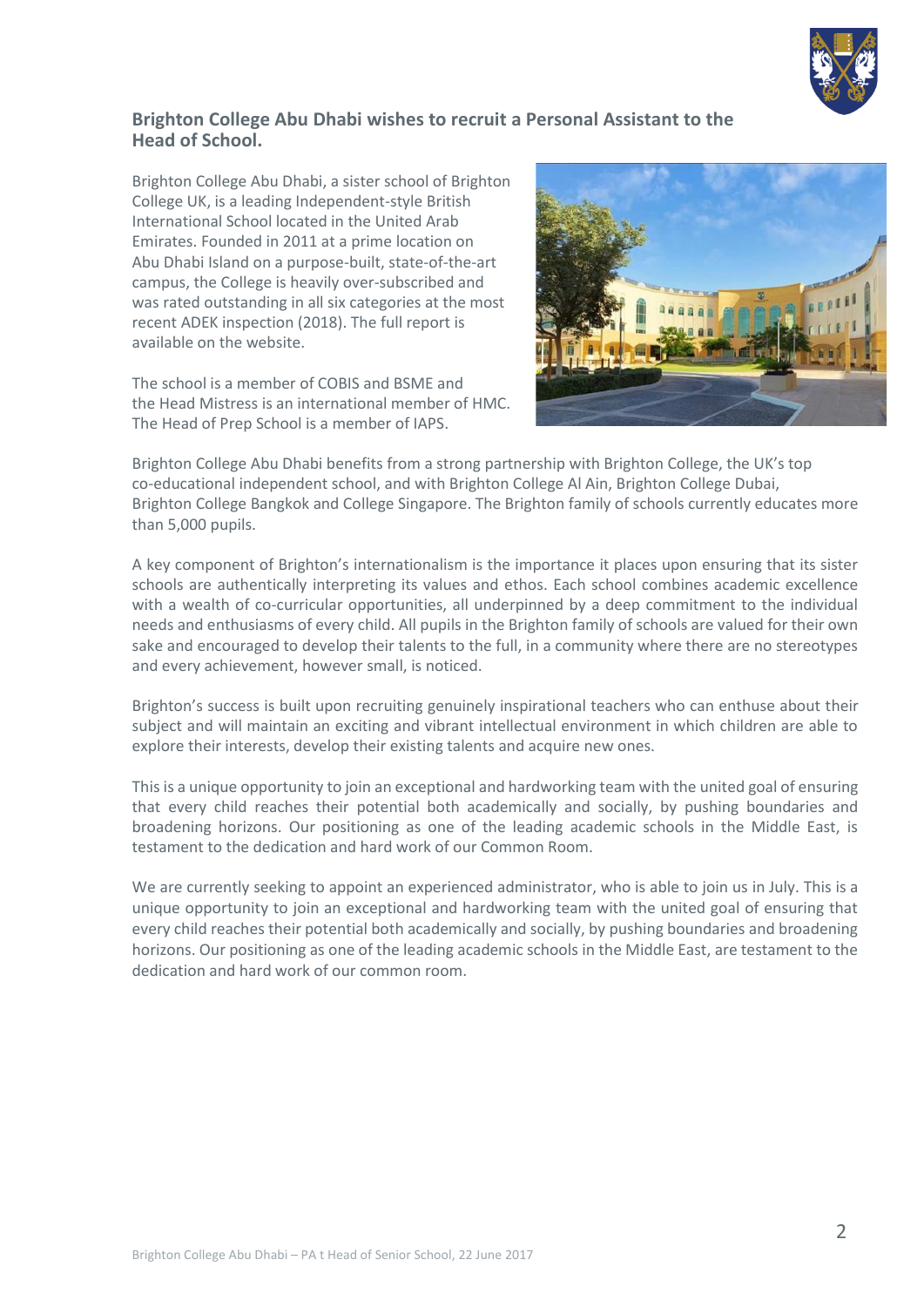

#### **Brighton College Abu Dhabi wishes to recruit a Personal Assistant to the Head of School.**

Brighton College Abu Dhabi, a sister school of Brighton College UK, is a leading Independent-style British International School located in the United Arab Emirates. Founded in 2011 at a prime location on Abu Dhabi Island on a purpose-built, state-of-the-art campus, the College is heavily over-subscribed and was rated outstanding in all six categories at the most recent ADEK inspection (2018). The full report is available on the website.

The school is a member of COBIS and BSME and the Head Mistress is an international member of HMC. The Head of Prep School is a member of IAPS.



Brighton College Abu Dhabi benefits from a strong partnership with Brighton College, the UK's top co-educational independent school, and with Brighton College Al Ain, Brighton College Dubai, Brighton College Bangkok and College Singapore. The Brighton family of schools currently educates more than 5,000 pupils.

A key component of Brighton's internationalism is the importance it places upon ensuring that its sister schools are authentically interpreting its values and ethos. Each school combines academic excellence with a wealth of co-curricular opportunities, all underpinned by a deep commitment to the individual needs and enthusiasms of every child. All pupils in the Brighton family of schools are valued for their own sake and encouraged to develop their talents to the full, in a community where there are no stereotypes and every achievement, however small, is noticed.

Brighton's success is built upon recruiting genuinely inspirational teachers who can enthuse about their subject and will maintain an exciting and vibrant intellectual environment in which children are able to explore their interests, develop their existing talents and acquire new ones.

This is a unique opportunity to join an exceptional and hardworking team with the united goal of ensuring that every child reaches their potential both academically and socially, by pushing boundaries and broadening horizons. Our positioning as one of the leading academic schools in the Middle East, is testament to the dedication and hard work of our Common Room.

We are currently seeking to appoint an experienced administrator, who is able to join us in July. This is a unique opportunity to join an exceptional and hardworking team with the united goal of ensuring that every child reaches their potential both academically and socially, by pushing boundaries and broadening horizons. Our positioning as one of the leading academic schools in the Middle East, are testament to the dedication and hard work of our common room.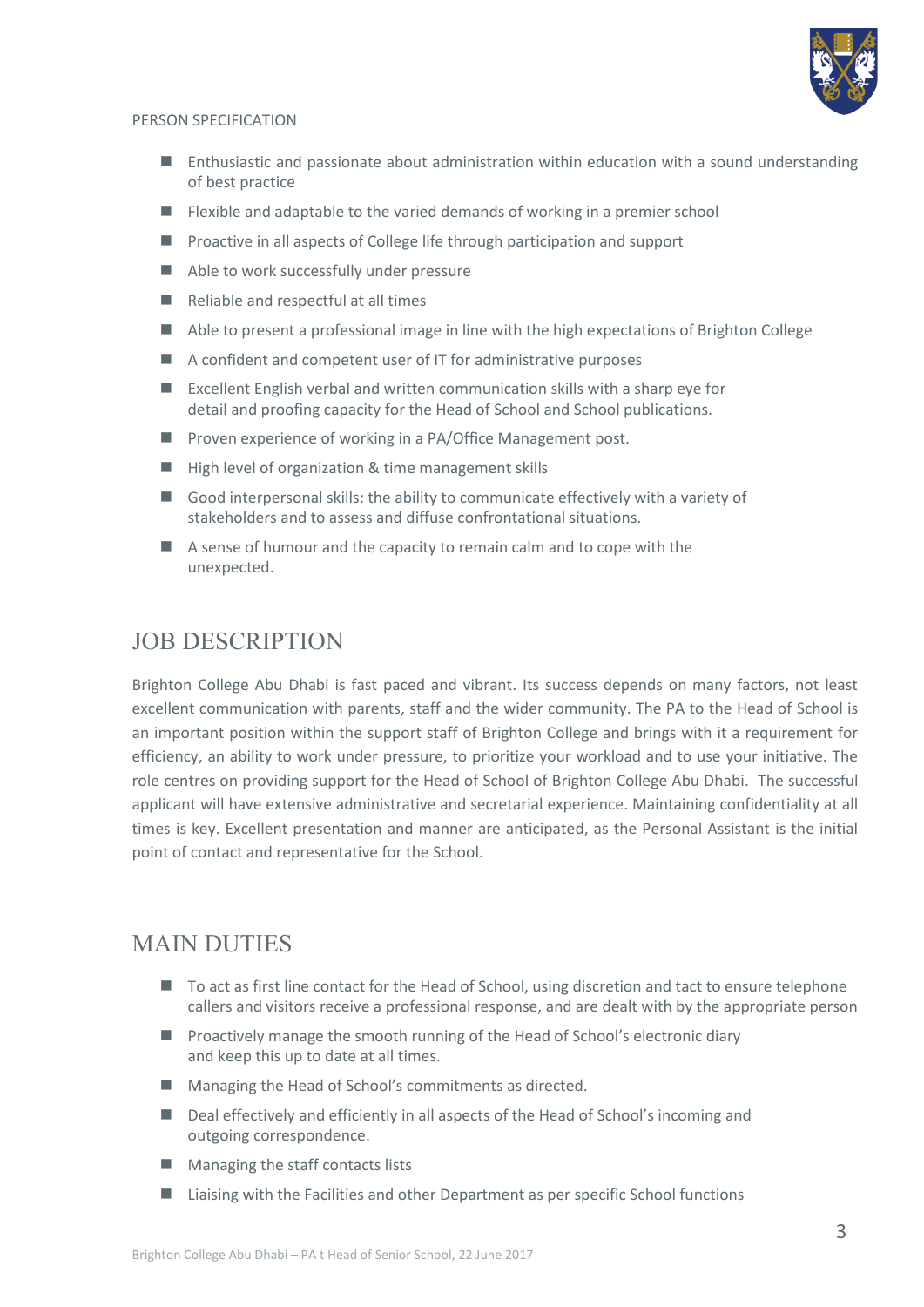

#### PERSON SPECIFICATION

- Enthusiastic and passionate about administration within education with a sound understanding of best practice
- Flexible and adaptable to the varied demands of working in a premier school
- Proactive in all aspects of College life through participation and support
- Able to work successfully under pressure
- Reliable and respectful at all times
- Able to present a professional image in line with the high expectations of Brighton College
- A confident and competent user of IT for administrative purposes
- $\blacksquare$  Excellent English verbal and written communication skills with a sharp eye for detail and proofing capacity for the Head of School and School publications.
- Proven experience of working in a PA/Office Management post.
- High level of organization & time management skills
- Good interpersonal skills: the ability to communicate effectively with a variety of stakeholders and to assess and diffuse confrontational situations.
- A sense of humour and the capacity to remain calm and to cope with the unexpected.

## JOB DESCRIPTION

Brighton College Abu Dhabi is fast paced and vibrant. Its success depends on many factors, not least excellent communication with parents, staff and the wider community. The PA to the Head of School is an important position within the support staff of Brighton College and brings with it a requirement for efficiency, an ability to work under pressure, to prioritize your workload and to use your initiative. The role centres on providing support for the Head of School of Brighton College Abu Dhabi. The successful applicant will have extensive administrative and secretarial experience. Maintaining confidentiality at all times is key. Excellent presentation and manner are anticipated, as the Personal Assistant is the initial point of contact and representative for the School.

## MAIN DUTIES

- To act as first line contact for the Head of School, using discretion and tact to ensure telephone callers and visitors receive a professional response, and are dealt with by the appropriate person
- Proactively manage the smooth running of the Head of School's electronic diary and keep this up to date at all times.
- Managing the Head of School's commitments as directed.
- Deal effectively and efficiently in all aspects of the Head of School's incoming and outgoing correspondence.
- Managing the staff contacts lists
- Liaising with the Facilities and other Department as per specific School functions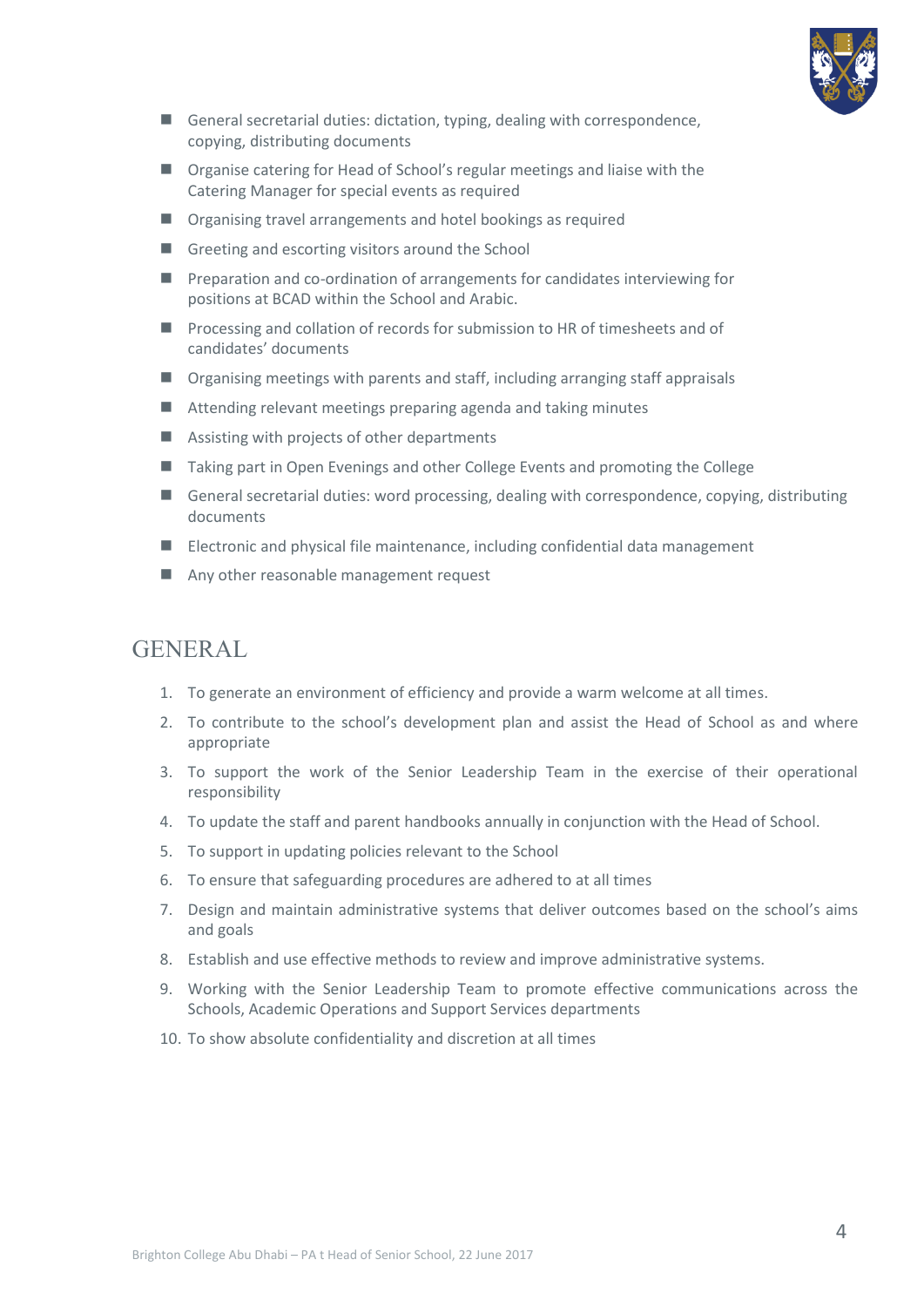

- General secretarial duties: dictation, typing, dealing with correspondence, copying, distributing documents
- Organise catering for Head of School's regular meetings and liaise with the Catering Manager for special events as required
- Organising travel arrangements and hotel bookings as required
- Greeting and escorting visitors around the School
- Preparation and co-ordination of arrangements for candidates interviewing for positions at BCAD within the School and Arabic.
- Processing and collation of records for submission to HR of timesheets and of candidates' documents
- Organising meetings with parents and staff, including arranging staff appraisals
- Attending relevant meetings preparing agenda and taking minutes
- Assisting with projects of other departments
- Taking part in Open Evenings and other College Events and promoting the College
- General secretarial duties: word processing, dealing with correspondence, copying, distributing documents
- Electronic and physical file maintenance, including confidential data management
- Any other reasonable management request

## GENERAL

- 1. To generate an environment of efficiency and provide a warm welcome at all times.
- 2. To contribute to the school's development plan and assist the Head of School as and where appropriate
- 3. To support the work of the Senior Leadership Team in the exercise of their operational responsibility
- 4. To update the staff and parent handbooks annually in conjunction with the Head of School.
- 5. To support in updating policies relevant to the School
- 6. To ensure that safeguarding procedures are adhered to at all times
- 7. Design and maintain administrative systems that deliver outcomes based on the school's aims and goals
- 8. Establish and use effective methods to review and improve administrative systems.
- 9. Working with the Senior Leadership Team to promote effective communications across the Schools, Academic Operations and Support Services departments
- 10. To show absolute confidentiality and discretion at all times